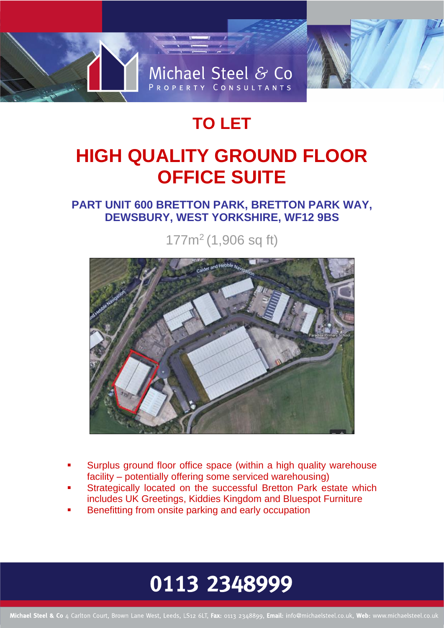

## **TO LET**

# **HIGH QUALITY GROUND FLOOR OFFICE SUITE**

### **PART UNIT 600 BRETTON PARK, BRETTON PARK WAY, DEWSBURY, WEST YORKSHIRE, WF12 9BS**

177m<sup>2</sup> (1,906 sq ft)



- Surplus ground floor office space (within a high quality warehouse facility – potentially offering some serviced warehousing)
- Strategically located on the successful Bretton Park estate which includes UK Greetings, Kiddies Kingdom and Bluespot Furniture
- Benefitting from onsite parking and early occupation

# 0113 2348999